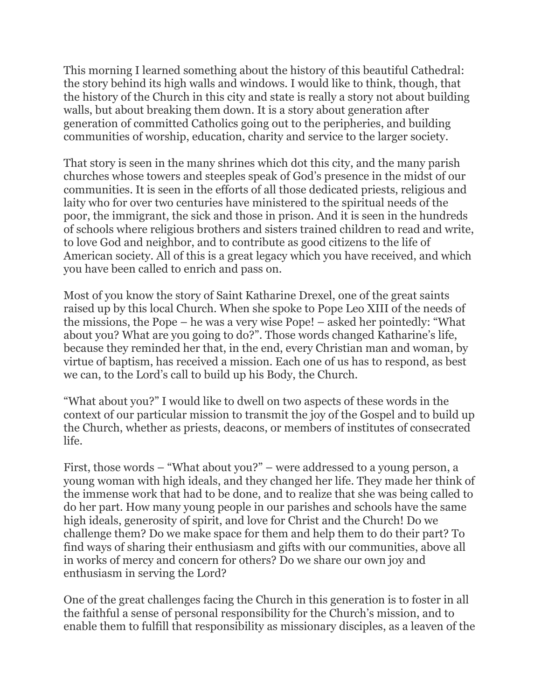This morning I learned something about the history of this beautiful Cathedral: the story behind its high walls and windows. I would like to think, though, that the history of the Church in this city and state is really a story not about building walls, but about breaking them down. It is a story about generation after generation of committed Catholics going out to the peripheries, and building communities of worship, education, charity and service to the larger society.

That story is seen in the many shrines which dot this city, and the many parish churches whose towers and steeples speak of God's presence in the midst of our communities. It is seen in the efforts of all those dedicated priests, religious and laity who for over two centuries have ministered to the spiritual needs of the poor, the immigrant, the sick and those in prison. And it is seen in the hundreds of schools where religious brothers and sisters trained children to read and write, to love God and neighbor, and to contribute as good citizens to the life of American society. All of this is a great legacy which you have received, and which you have been called to enrich and pass on.

Most of you know the story of Saint Katharine Drexel, one of the great saints raised up by this local Church. When she spoke to Pope Leo XIII of the needs of the missions, the Pope – he was a very wise Pope! – asked her pointedly: "What about you? What are you going to do?". Those words changed Katharine's life, because they reminded her that, in the end, every Christian man and woman, by virtue of baptism, has received a mission. Each one of us has to respond, as best we can, to the Lord's call to build up his Body, the Church.

"What about you?" I would like to dwell on two aspects of these words in the context of our particular mission to transmit the joy of the Gospel and to build up the Church, whether as priests, deacons, or members of institutes of consecrated life.

First, those words – "What about you?" – were addressed to a young person, a young woman with high ideals, and they changed her life. They made her think of the immense work that had to be done, and to realize that she was being called to do her part. How many young people in our parishes and schools have the same high ideals, generosity of spirit, and love for Christ and the Church! Do we challenge them? Do we make space for them and help them to do their part? To find ways of sharing their enthusiasm and gifts with our communities, above all in works of mercy and concern for others? Do we share our own joy and enthusiasm in serving the Lord?

One of the great challenges facing the Church in this generation is to foster in all the faithful a sense of personal responsibility for the Church's mission, and to enable them to fulfill that responsibility as missionary disciples, as a leaven of the